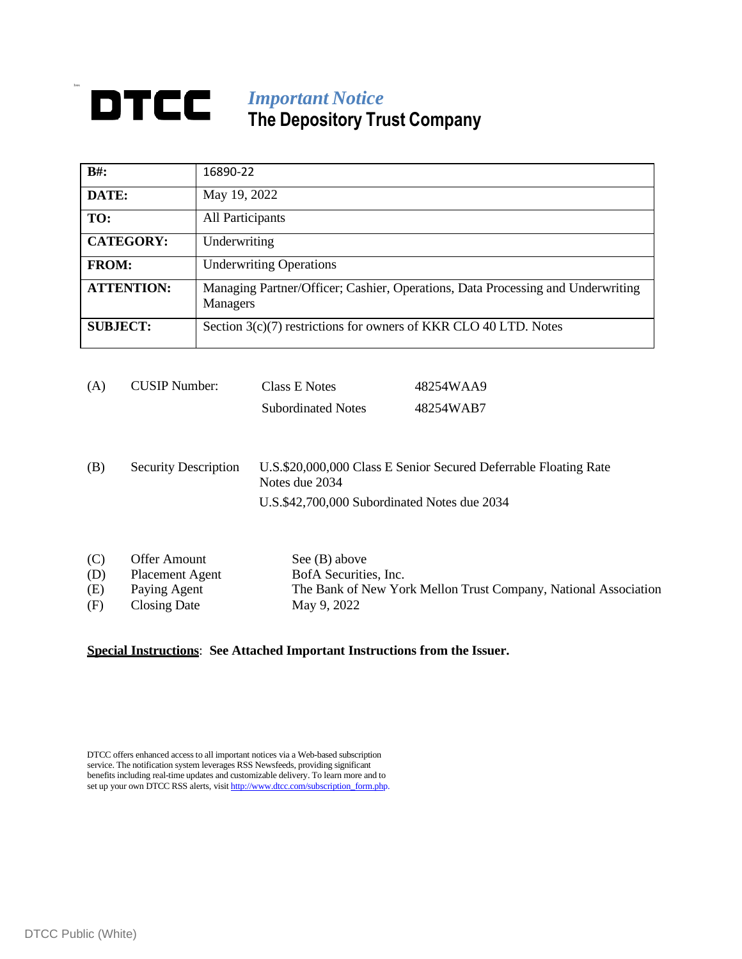## Ives *Important Notice* **The Depository Trust Company**

| $B#$ :            | 16890-22                                                                                           |
|-------------------|----------------------------------------------------------------------------------------------------|
| DATE:             | May 19, 2022                                                                                       |
| TO:               | All Participants                                                                                   |
| <b>CATEGORY:</b>  | Underwriting                                                                                       |
| <b>FROM:</b>      | <b>Underwriting Operations</b>                                                                     |
| <b>ATTENTION:</b> | Managing Partner/Officer; Cashier, Operations, Data Processing and Underwriting<br><b>Managers</b> |
| <b>SUBJECT:</b>   | Section 3(c)(7) restrictions for owners of KKR CLO 40 LTD. Notes                                   |

| (A) | CUSIP Number: | Class E Notes             | 48254WAA9 |
|-----|---------------|---------------------------|-----------|
|     |               | <b>Subordinated Notes</b> | 48254WAB7 |

(B) Security Description U.S.\$20,000,000 Class E Senior Secured Deferrable Floating Rate Notes due 2034 U.S.\$42,700,000 Subordinated Notes due 2034

| (C) | Offer Amount    | See $(B)$ above                                                 |
|-----|-----------------|-----------------------------------------------------------------|
| (D) | Placement Agent | BofA Securities, Inc.                                           |
| (E) | Paying Agent    | The Bank of New York Mellon Trust Company, National Association |
| (F) | Closing Date    | May 9, 2022                                                     |

## **Special Instructions**: **See Attached Important Instructions from the Issuer.**

DTCC offers enhanced access to all important notices via a Web-based subscription service. The notification system leverages RSS Newsfeeds, providing significant benefits including real-time updates and customizable delivery. To learn more and to set up your own DTCC RSS alerts, visi[t http://www.dtcc.com/subscription\\_form.php.](http://www.dtcc.com/subscription_form.php)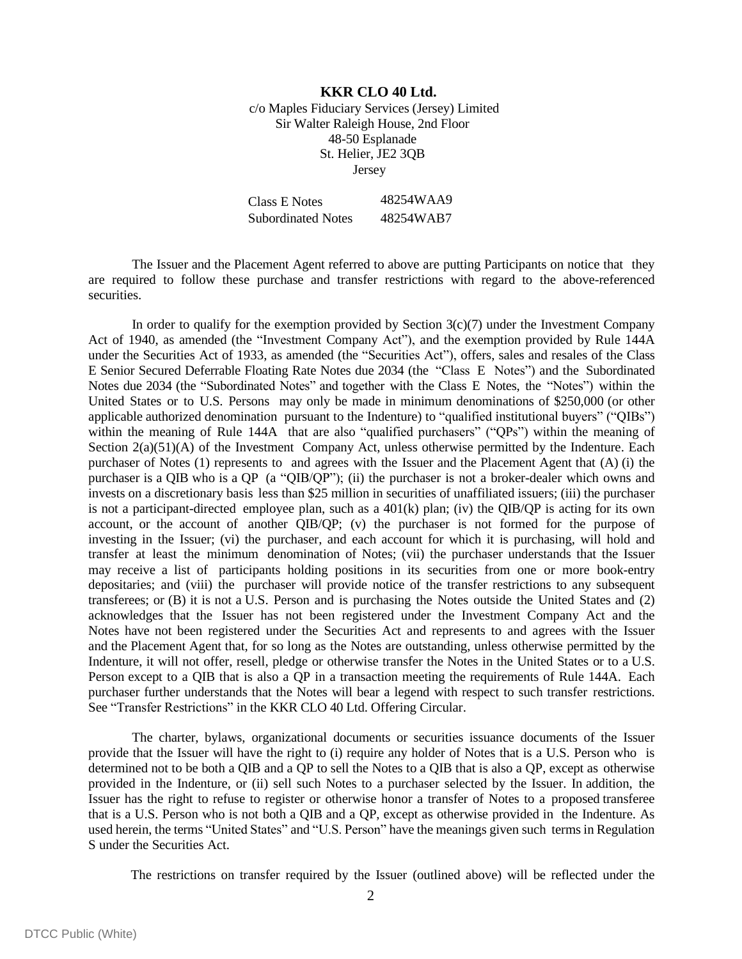## **KKR CLO 40 Ltd.** c/o Maples Fiduciary Services (Jersey) Limited Sir Walter Raleigh House, 2nd Floor 48-50 Esplanade St. Helier, JE2 3QB Jersey

Class E Notes 48254WAA9 Subordinated Notes 48254WAB7

The Issuer and the Placement Agent referred to above are putting Participants on notice that they are required to follow these purchase and transfer restrictions with regard to the above-referenced securities.

In order to qualify for the exemption provided by Section  $3(c)(7)$  under the Investment Company Act of 1940, as amended (the "Investment Company Act"), and the exemption provided by Rule 144A under the Securities Act of 1933, as amended (the "Securities Act"), offers, sales and resales of the Class E Senior Secured Deferrable Floating Rate Notes due 2034 (the "Class E Notes") and the Subordinated Notes due 2034 (the "Subordinated Notes" and together with the Class E Notes, the "Notes") within the United States or to U.S. Persons may only be made in minimum denominations of \$250,000 (or other applicable authorized denomination pursuant to the Indenture) to "qualified institutional buyers" ("QIBs") within the meaning of Rule 144A that are also "qualified purchasers" ("QPs") within the meaning of Section 2(a)(51)(A) of the Investment Company Act, unless otherwise permitted by the Indenture. Each purchaser of Notes (1) represents to and agrees with the Issuer and the Placement Agent that (A) (i) the purchaser is a QIB who is a QP (a "QIB/QP"); (ii) the purchaser is not a broker-dealer which owns and invests on a discretionary basis less than \$25 million in securities of unaffiliated issuers; (iii) the purchaser is not a participant-directed employee plan, such as a  $401(k)$  plan; (iv) the QIB/QP is acting for its own account, or the account of another QIB/QP; (v) the purchaser is not formed for the purpose of investing in the Issuer; (vi) the purchaser, and each account for which it is purchasing, will hold and transfer at least the minimum denomination of Notes; (vii) the purchaser understands that the Issuer may receive a list of participants holding positions in its securities from one or more book-entry depositaries; and (viii) the purchaser will provide notice of the transfer restrictions to any subsequent transferees; or (B) it is not a U.S. Person and is purchasing the Notes outside the United States and (2) acknowledges that the Issuer has not been registered under the Investment Company Act and the Notes have not been registered under the Securities Act and represents to and agrees with the Issuer and the Placement Agent that, for so long as the Notes are outstanding, unless otherwise permitted by the Indenture, it will not offer, resell, pledge or otherwise transfer the Notes in the United States or to a U.S. Person except to a QIB that is also a QP in a transaction meeting the requirements of Rule 144A. Each purchaser further understands that the Notes will bear a legend with respect to such transfer restrictions. See "Transfer Restrictions" in the KKR CLO 40 Ltd. Offering Circular.

The charter, bylaws, organizational documents or securities issuance documents of the Issuer provide that the Issuer will have the right to (i) require any holder of Notes that is a U.S. Person who is determined not to be both a QIB and a QP to sell the Notes to a QIB that is also a QP, except as otherwise provided in the Indenture, or (ii) sell such Notes to a purchaser selected by the Issuer. In addition, the Issuer has the right to refuse to register or otherwise honor a transfer of Notes to a proposed transferee that is a U.S. Person who is not both a QIB and a QP, except as otherwise provided in the Indenture. As used herein, the terms "United States" and "U.S. Person" have the meanings given such terms in Regulation S under the Securities Act.

The restrictions on transfer required by the Issuer (outlined above) will be reflected under the